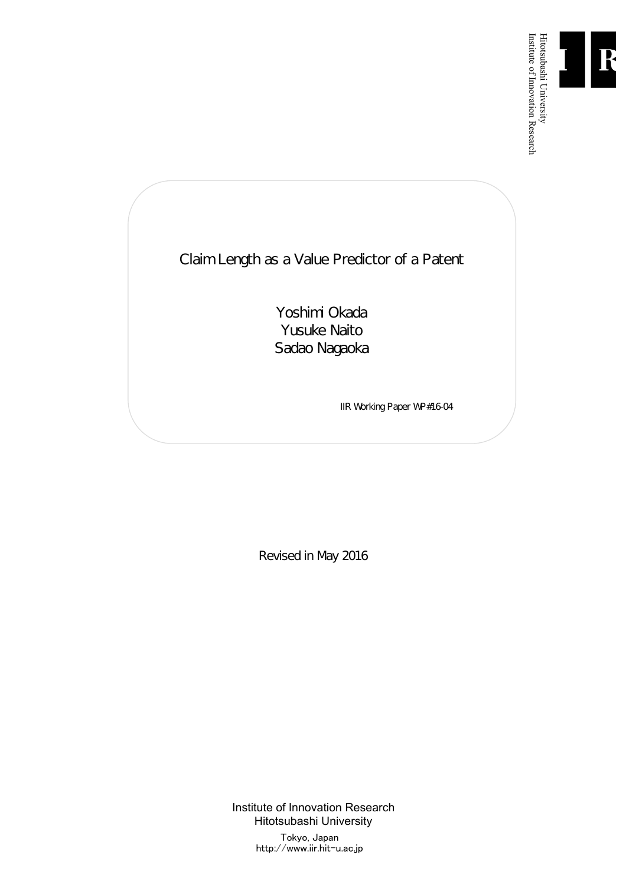

Institute of Innovation Research

Claim Length as a Value Predictor of a Patent

Yoshimi Okada Yusuke Naito Sadao Nagaoka

IIR Working Paper WP#16-04

Revised in May 2016

Institute of Innovation Research Hitotsubashi University Tokyo, Japan

http://www.iir.hit-u.ac.jp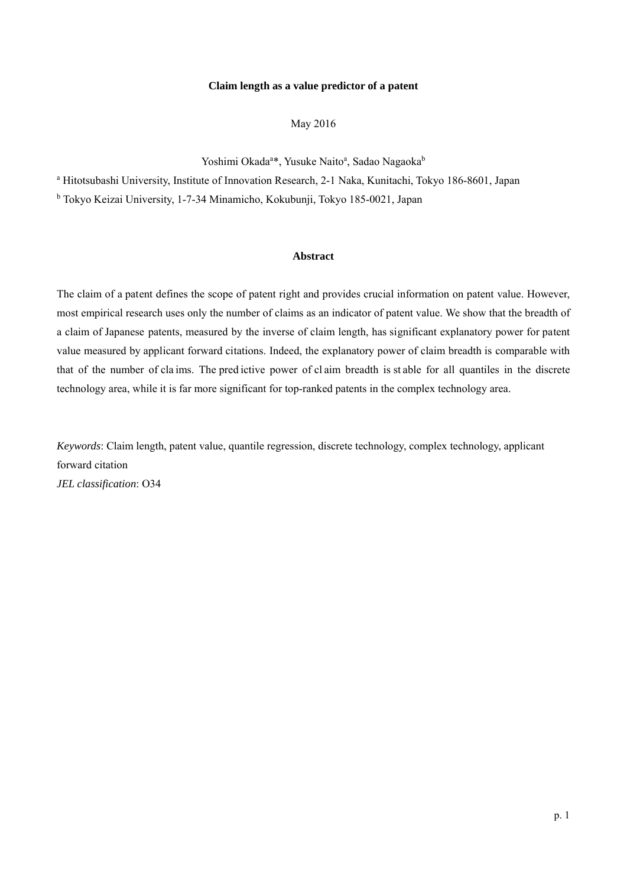#### **Claim length as a value predictor of a patent**

May 2016

Yoshimi Okada<sup>a\*</sup>, Yusuke Naito<sup>a</sup>, Sadao Nagaoka<sup>b</sup>

<sup>a</sup> Hitotsubashi University, Institute of Innovation Research, 2-1 Naka, Kunitachi, Tokyo 186-8601, Japan

b Tokyo Keizai University, 1-7-34 Minamicho, Kokubunji, Tokyo 185-0021, Japan

### **Abstract**

The claim of a patent defines the scope of patent right and provides crucial information on patent value. However, most empirical research uses only the number of claims as an indicator of patent value. We show that the breadth of a claim of Japanese patents, measured by the inverse of claim length, has significant explanatory power for patent value measured by applicant forward citations. Indeed, the explanatory power of claim breadth is comparable with that of the number of cla ims. The pred ictive power of cl aim breadth is st able for all quantiles in the discrete technology area, while it is far more significant for top-ranked patents in the complex technology area.

*Keywords*: Claim length, patent value, quantile regression, discrete technology, complex technology, applicant forward citation *JEL classification*: O34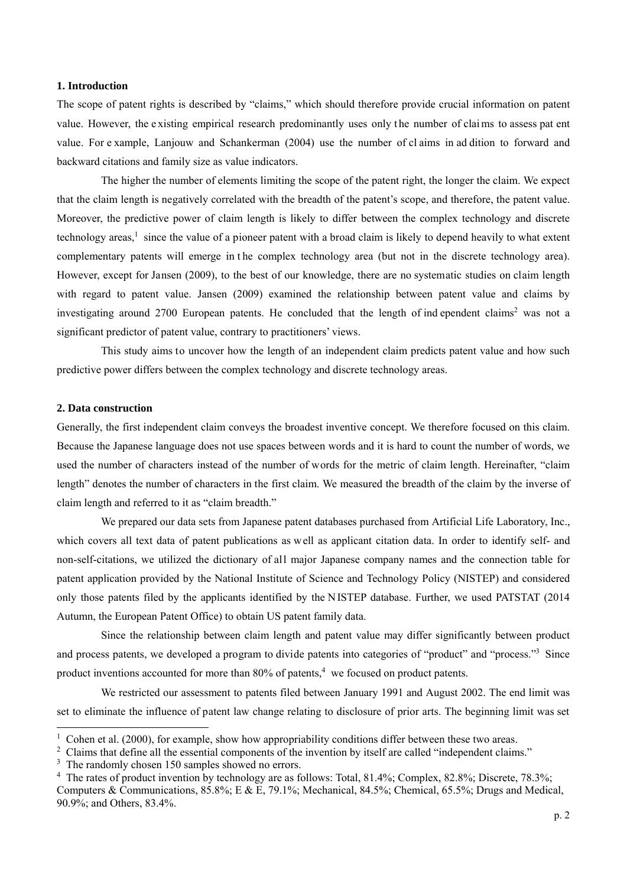### **1. Introduction**

The scope of patent rights is described by "claims," which should therefore provide crucial information on patent value. However, the e xisting empirical research predominantly uses only t he number of clai ms to assess pat ent value. For e xample, Lanjouw and Schankerman (2004) use the number of cl aims in ad dition to forward and backward citations and family size as value indicators.

 The higher the number of elements limiting the scope of the patent right, the longer the claim. We expect that the claim length is negatively correlated with the breadth of the patent's scope, and therefore, the patent value. Moreover, the predictive power of claim length is likely to differ between the complex technology and discrete technology areas, $<sup>1</sup>$  since the value of a pioneer patent with a broad claim is likely to depend heavily to what extent</sup> complementary patents will emerge in t he complex technology area (but not in the discrete technology area). However, except for Jansen (2009), to the best of our knowledge, there are no systematic studies on claim length with regard to patent value. Jansen (2009) examined the relationship between patent value and claims by investigating around 2700 European patents. He concluded that the length of ind ependent claims<sup>2</sup> was not a significant predictor of patent value, contrary to practitioners' views.

 This study aims to uncover how the length of an independent claim predicts patent value and how such predictive power differs between the complex technology and discrete technology areas.

### **2. Data construction**

-

Generally, the first independent claim conveys the broadest inventive concept. We therefore focused on this claim. Because the Japanese language does not use spaces between words and it is hard to count the number of words, we used the number of characters instead of the number of words for the metric of claim length. Hereinafter, "claim length" denotes the number of characters in the first claim. We measured the breadth of the claim by the inverse of claim length and referred to it as "claim breadth."

 We prepared our data sets from Japanese patent databases purchased from Artificial Life Laboratory, Inc., which covers all text data of patent publications as well as applicant citation data. In order to identify self- and non-self-citations, we utilized the dictionary of all major Japanese company names and the connection table for patent application provided by the National Institute of Science and Technology Policy (NISTEP) and considered only those patents filed by the applicants identified by the NISTEP database. Further, we used PATSTAT (2014 Autumn, the European Patent Office) to obtain US patent family data.

 Since the relationship between claim length and patent value may differ significantly between product and process patents, we developed a program to divide patents into categories of "product" and "process."<sup>3</sup> Since product inventions accounted for more than 80% of patents,<sup>4</sup> we focused on product patents.

 We restricted our assessment to patents filed between January 1991 and August 2002. The end limit was set to eliminate the influence of patent law change relating to disclosure of prior arts. The beginning limit was set

 $1$  Cohen et al. (2000), for example, show how appropriability conditions differ between these two areas.

<sup>&</sup>lt;sup>2</sup> Claims that define all the essential components of the invention by itself are called "independent claims."

<sup>&</sup>lt;sup>3</sup> The randomly chosen 150 samples showed no errors.

<sup>&</sup>lt;sup>4</sup> The rates of product invention by technology are as follows: Total, 81.4%; Complex, 82.8%; Discrete, 78.3%;

Computers & Communications, 85.8%; E & E, 79.1%; Mechanical, 84.5%; Chemical, 65.5%; Drugs and Medical, 90.9%; and Others, 83.4%.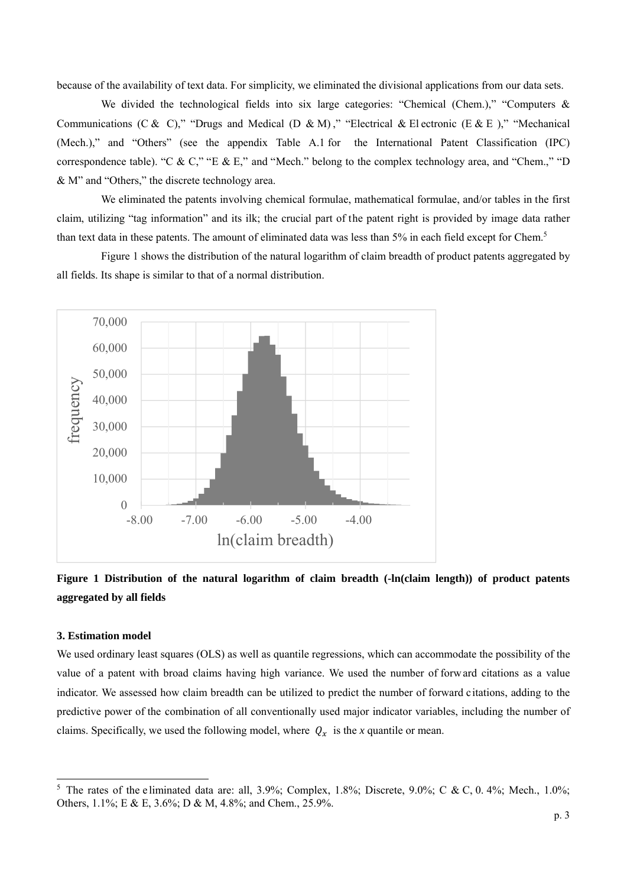because of the availability of text data. For simplicity, we eliminated the divisional applications from our data sets.

We divided the technological fields into six large categories: "Chemical (Chem.)," "Computers  $\&$ Communications (C & C)," "Drugs and Medical (D & M)," "Electrical & El ectronic (E & E)," "Mechanical (Mech.)," and "Others" (see the appendix Table A.1 for the International Patent Classification (IPC) correspondence table). "C & C," "E & E," and "Mech." belong to the complex technology area, and "Chem.," "D & M" and "Others," the discrete technology area.

 We eliminated the patents involving chemical formulae, mathematical formulae, and/or tables in the first claim, utilizing "tag information" and its ilk; the crucial part of the patent right is provided by image data rather than text data in these patents. The amount of eliminated data was less than 5% in each field except for Chem.<sup>5</sup>

 Figure 1 shows the distribution of the natural logarithm of claim breadth of product patents aggregated by all fields. Its shape is similar to that of a normal distribution.



**Figure 1 Distribution of the natural logarithm of claim breadth (-ln(claim length)) of product patents aggregated by all fields**

#### **3. Estimation model**

-

We used ordinary least squares (OLS) as well as quantile regressions, which can accommodate the possibility of the value of a patent with broad claims having high variance. We used the number of forw ard citations as a value indicator. We assessed how claim breadth can be utilized to predict the number of forward citations, adding to the predictive power of the combination of all conventionally used major indicator variables, including the number of claims. Specifically, we used the following model, where  $Q_x$  is the *x* quantile or mean.

<sup>&</sup>lt;sup>5</sup> The rates of the eliminated data are: all, 3.9%; Complex, 1.8%; Discrete, 9.0%; C & C, 0.4%; Mech., 1.0%; Others, 1.1%; E & E, 3.6%; D & M, 4.8%; and Chem., 25.9%.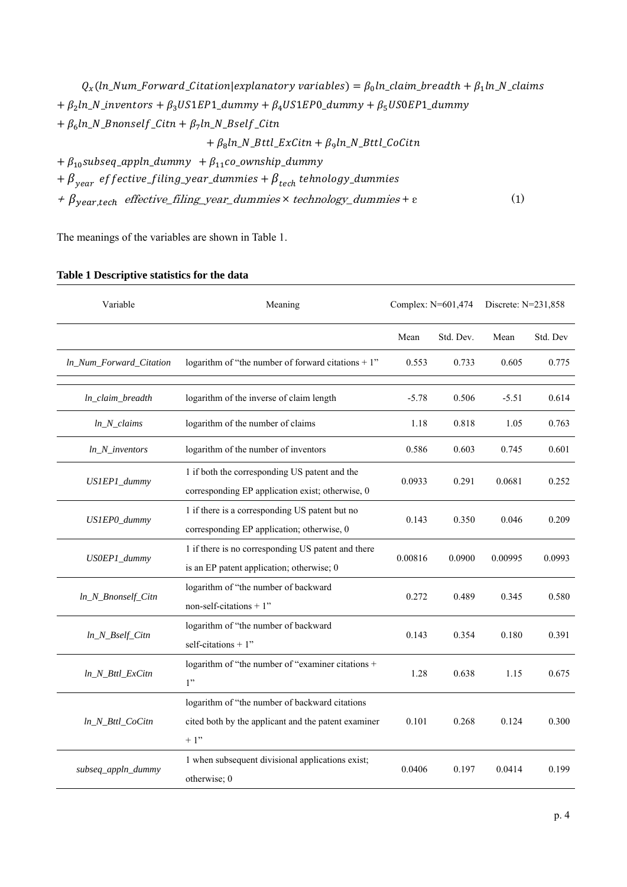$Q_x(ln_Num_Forward_Citation|explanatory\ variables) = \beta_0 ln_Clain\_breadth + \beta_1 ln_N_Clain_S$ +  $\beta_2$ ln\_N\_inventors +  $\beta_3$ US1EP1\_dummy +  $\beta_4$ US1EP0\_dummy +  $\beta_5$ US0EP1\_dummy  $+ \beta_6 \ln N_B$ nonself\_Citn  $+ \beta_7 \ln N_B$ self\_Citn  $+ \beta_8 ln_N_B$ ttl\_ExCitn  $+ \beta_9 ln_N_B$ ttl\_CoCitn  $+\beta_{10}$ subseq\_appln\_dummy  $+\beta_{11}$ co\_ownship\_dummy

 $+ \beta_{\text{year}}$  effective\_filing\_year\_dummies  $+ \beta_{\text{tech}}$  tehnology\_dummies

 $+ \beta_{year,tech}$  effective\_filing\_year\_dummies  $\times$  technology\_dummies +  $\varepsilon$  (1)

The meanings of the variables are shown in Table 1.

| Variable                | Meaning                                                                                                        | Complex: N=601,474 |           | Discrete: N=231,858 |          |
|-------------------------|----------------------------------------------------------------------------------------------------------------|--------------------|-----------|---------------------|----------|
|                         |                                                                                                                | Mean               | Std. Dev. | Mean                | Std. Dev |
| In_Num_Forward_Citation | logarithm of "the number of forward citations $+1$ "                                                           | 0.553              | 0.733     | 0.605               | 0.775    |
| ln_claim_breadth        | logarithm of the inverse of claim length                                                                       | $-5.78$            | 0.506     | $-5.51$             | 0.614    |
| $ln_N_{clains}$         | logarithm of the number of claims                                                                              | 1.18               | 0.818     | 1.05                | 0.763    |
| $ln_N$ _inventors       | logarithm of the number of inventors                                                                           | 0.586              | 0.603     | 0.745               | 0.601    |
| US1EP1_dummy            | 1 if both the corresponding US patent and the<br>corresponding EP application exist; otherwise, 0              | 0.0933             | 0.291     | 0.0681              | 0.252    |
| US1EP0_dummy            | 1 if there is a corresponding US patent but no<br>corresponding EP application; otherwise, 0                   | 0.143              | 0.350     | 0.046               | 0.209    |
| US0EP1_dummy            | 1 if there is no corresponding US patent and there<br>is an EP patent application; otherwise; 0                | 0.00816            | 0.0900    | 0.00995             | 0.0993   |
| ln_N_Bnonself_Citn      | logarithm of "the number of backward<br>non-self-citations $+1$ "                                              | 0.272              | 0.489     | 0.345               | 0.580    |
| $ln_N_Bself_C$ itn      | logarithm of "the number of backward<br>self-citations $+1$ "                                                  | 0.143              | 0.354     | 0.180               | 0.391    |
| ln_N_Bttl_ExCitn        | logarithm of "the number of "examiner citations +<br>1"                                                        | 1.28               | 0.638     | 1.15                | 0.675    |
| ln_N_Bttl_CoCitn        | logarithm of "the number of backward citations<br>cited both by the applicant and the patent examiner<br>$+1"$ | 0.101              | 0.268     | 0.124               | 0.300    |
| subseq_appln_dummy      | 1 when subsequent divisional applications exist;<br>otherwise; 0                                               | 0.0406             | 0.197     | 0.0414              | 0.199    |

### **Table 1 Descriptive statistics for the data**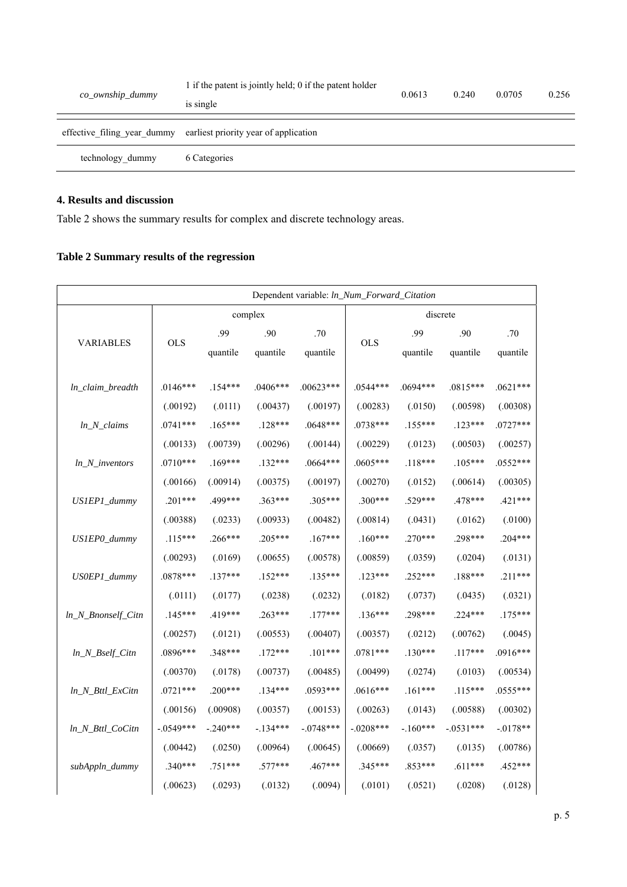| co_ownship_dummy | 1 if the patent is jointly held; 0 if the patent holder<br>is single | 0.0613 | 0.240 | 0.0705 | 0.256 |
|------------------|----------------------------------------------------------------------|--------|-------|--------|-------|
|                  | effective filing year dummy earliest priority year of application    |        |       |        |       |
| technology dummy | 6 Categories                                                         |        |       |        |       |
|                  |                                                                      |        |       |        |       |

## **4. Results and discussion**

Table 2 shows the summary results for complex and discrete technology areas.

# **Table 2 Summary results of the regression**

| Dependent variable: ln_Num_Forward_Citation |              |                 |                 |                 |             |                 |                 |                 |  |
|---------------------------------------------|--------------|-----------------|-----------------|-----------------|-------------|-----------------|-----------------|-----------------|--|
|                                             | complex      |                 |                 |                 | discrete    |                 |                 |                 |  |
| <b>VARIABLES</b>                            | <b>OLS</b>   | .99<br>quantile | .90<br>quantile | .70<br>quantile | <b>OLS</b>  | .99<br>quantile | .90<br>quantile | .70<br>quantile |  |
| ln_claim_breadth                            | $.0146***$   | $.154***$       | $.0406***$      | $.00623***$     | $.0544***$  | $.0694***$      | $.0815***$      | $.0621***$      |  |
|                                             | (.00192)     | (.0111)         | (.00437)        | (.00197)        | (.00283)    | (.0150)         | (.00598)        | (.00308)        |  |
| $ln_N_{clains}$                             | $.0741***$   | $.165***$       | $.128***$       | .0648***        | .0738***    | $.155***$       | $.123***$       | .0727***        |  |
|                                             | (.00133)     | (.00739)        | (.00296)        | (.00144)        | (.00229)    | (.0123)         | (.00503)        | (.00257)        |  |
| $ln_N$ _inventors                           | $.0710***$   | $.169***$       | $.132***$       | .0664***        | .0605***    | $.118***$       | $.105***$       | .0552***        |  |
|                                             | (.00166)     | (.00914)        | (.00375)        | (.00197)        | (.00270)    | (.0152)         | (.00614)        | (.00305)        |  |
| US1EP1_dummy                                | $.201***$    | .499***         | $.363***$       | $.305***$       | $.300***$   | .529***         | .478***         | $.421***$       |  |
|                                             | (.00388)     | (.0233)         | (.00933)        | (.00482)        | (.00814)    | (.0431)         | (.0162)         | (.0100)         |  |
| US1EP0_dummy                                | $.115***$    | .266***         | $.205***$       | $.167***$       | $.160***$   | $.270***$       | .298***         | $.204***$       |  |
|                                             | (.00293)     | (.0169)         | (.00655)        | (.00578)        | (.00859)    | (.0359)         | (.0204)         | (.0131)         |  |
| US0EP1_dummy                                | $.0878***$   | $.137***$       | $.152***$       | $.135***$       | $.123***$   | $.252***$       | .188***         | $.211***$       |  |
|                                             | (.0111)      | (.0177)         | (.0238)         | (.0232)         | (.0182)     | (.0737)         | (.0435)         | (.0321)         |  |
| ln_N_Bnonself_Citn                          | $.145***$    | .419***         | $.263***$       | $.177***$       | $.136***$   | .298***         | $.224***$       | $.175***$       |  |
|                                             | (.00257)     | (.0121)         | (.00553)        | (.00407)        | (.00357)    | (.0212)         | (.00762)        | (.0045)         |  |
| $ln_N_Bself_C$ itn                          | .0896***     | .348***         | $.172***$       | $.101***$       | .0781 ***   | $.130***$       | $.117***$       | .0916***        |  |
|                                             | (.00370)     | (.0178)         | (.00737)        | (.00485)        | (.00499)    | (.0274)         | (.0103)         | (.00534)        |  |
| ln_N_Bttl_ExCitn                            | $.0721***$   | $.200***$       | $.134***$       | .0593***        | $.0616***$  | $.161***$       | $.115***$       | .0555***        |  |
|                                             | (.00156)     | (.00908)        | (.00357)        | (.00153)        | (.00263)    | (.0143)         | (.00588)        | (.00302)        |  |
| ln_N_Bttl_CoCitn                            | $-0.0549***$ | $-.240***$      | $-134***$       | $-.0748***$     | $-.0208***$ | $-.160***$      | $-.0531***$     | $-.0178**$      |  |
|                                             | (.00442)     | (.0250)         | (.00964)        | (.00645)        | (.00669)    | (.0357)         | (.0135)         | (.00786)        |  |
| subAppln_dummy                              | $.340***$    | $.751***$       | $.577***$       | .467***         | $.345***$   | .853***         | $.611***$       | .452***         |  |
|                                             | (.00623)     | (.0293)         | (.0132)         | (.0094)         | (.0101)     | (.0521)         | (.0208)         | (.0128)         |  |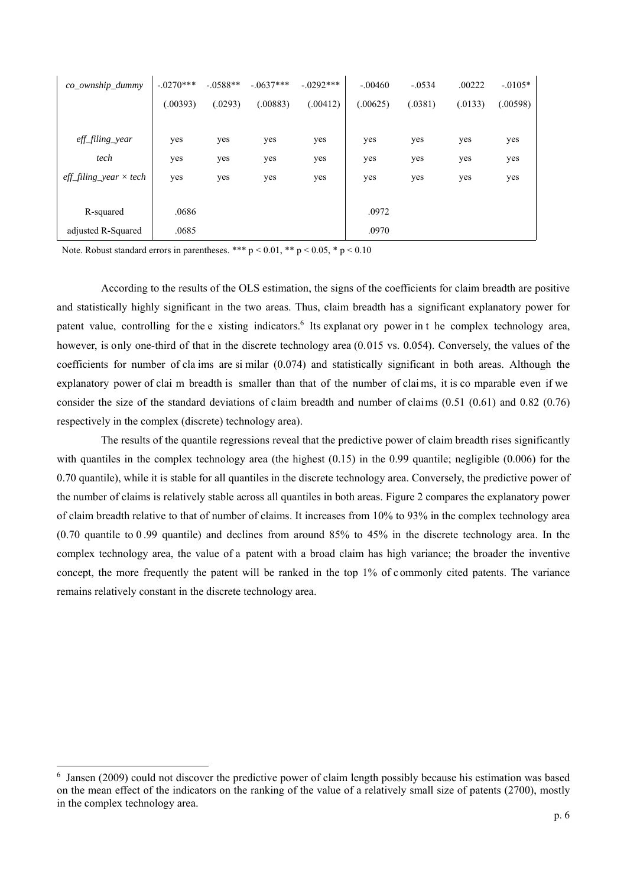| co_ownship_dummy               | $-.0270***$ | $-.0588**$ | $-.0637***$ | $-0.0292***$ | $-.00460$ | $-.0534$ | .00222  | $-0.0105*$ |
|--------------------------------|-------------|------------|-------------|--------------|-----------|----------|---------|------------|
|                                | (.00393)    | (.0293)    | (.00883)    | (.00412)     | (.00625)  | (.0381)  | (.0133) | (.00598)   |
|                                |             |            |             |              |           |          |         |            |
| eff_filing_year                | yes         | yes        | yes         | yes          | yes       | yes      | yes     | yes        |
| tech                           | yes         | yes        | yes         | yes          | yes       | yes      | yes     | yes        |
| $eff\_fill$ gear $\times$ tech | yes         | yes        | yes         | yes          | yes       | yes      | yes     | yes        |
|                                |             |            |             |              |           |          |         |            |
| R-squared                      | .0686       |            |             |              | .0972     |          |         |            |
| adjusted R-Squared             | .0685       |            |             |              | .0970     |          |         |            |

Note. Robust standard errors in parentheses. \*\*\*  $p < 0.01$ , \*\*  $p < 0.05$ , \*  $p < 0.10$ 

-

According to the results of the OLS estimation, the signs of the coefficients for claim breadth are positive and statistically highly significant in the two areas. Thus, claim breadth has a significant explanatory power for patent value, controlling for the e xisting indicators.<sup>6</sup> Its explanat ory power in t he complex technology area, however, is only one-third of that in the discrete technology area (0.015 vs. 0.054). Conversely, the values of the coefficients for number of cla ims are si milar (0.074) and statistically significant in both areas. Although the explanatory power of clai m breadth is smaller than that of the number of clai ms, it is co mparable even if we consider the size of the standard deviations of claim breadth and number of claims (0.51 (0.61) and 0.82 (0.76) respectively in the complex (discrete) technology area).

 The results of the quantile regressions reveal that the predictive power of claim breadth rises significantly with quantiles in the complex technology area (the highest  $(0.15)$  in the 0.99 quantile; negligible  $(0.006)$  for the 0.70 quantile), while it is stable for all quantiles in the discrete technology area. Conversely, the predictive power of the number of claims is relatively stable across all quantiles in both areas. Figure 2 compares the explanatory power of claim breadth relative to that of number of claims. It increases from 10% to 93% in the complex technology area (0.70 quantile to 0 .99 quantile) and declines from around 85% to 45% in the discrete technology area. In the complex technology area, the value of a patent with a broad claim has high variance; the broader the inventive concept, the more frequently the patent will be ranked in the top 1% of c ommonly cited patents. The variance remains relatively constant in the discrete technology area.

<sup>&</sup>lt;sup>6</sup> Jansen (2009) could not discover the predictive power of claim length possibly because his estimation was based on the mean effect of the indicators on the ranking of the value of a relatively small size of patents (2700), mostly in the complex technology area.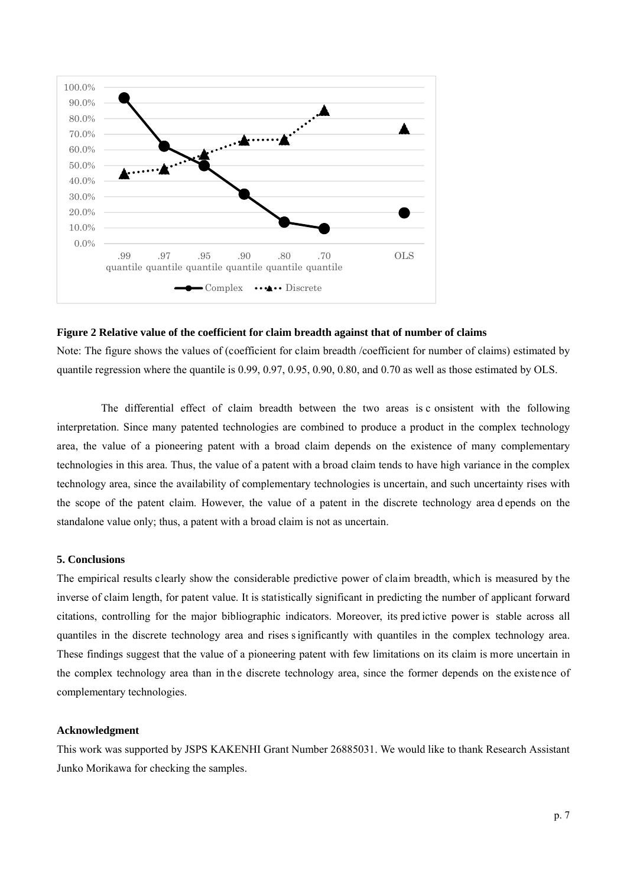

#### **Figure 2 Relative value of the coefficient for claim breadth against that of number of claims**

Note: The figure shows the values of (coefficient for claim breadth /coefficient for number of claims) estimated by quantile regression where the quantile is 0.99, 0.97, 0.95, 0.90, 0.80, and 0.70 as well as those estimated by OLS.

The differential effect of claim breadth between the two areas is c onsistent with the following interpretation. Since many patented technologies are combined to produce a product in the complex technology area, the value of a pioneering patent with a broad claim depends on the existence of many complementary technologies in this area. Thus, the value of a patent with a broad claim tends to have high variance in the complex technology area, since the availability of complementary technologies is uncertain, and such uncertainty rises with the scope of the patent claim. However, the value of a patent in the discrete technology area d epends on the standalone value only; thus, a patent with a broad claim is not as uncertain.

### **5. Conclusions**

The empirical results clearly show the considerable predictive power of claim breadth, which is measured by the inverse of claim length, for patent value. It is statistically significant in predicting the number of applicant forward citations, controlling for the major bibliographic indicators. Moreover, its pred ictive power is stable across all quantiles in the discrete technology area and rises s ignificantly with quantiles in the complex technology area. These findings suggest that the value of a pioneering patent with few limitations on its claim is more uncertain in the complex technology area than in the discrete technology area, since the former depends on the existence of complementary technologies.

### **Acknowledgment**

This work was supported by JSPS KAKENHI Grant Number 26885031. We would like to thank Research Assistant Junko Morikawa for checking the samples.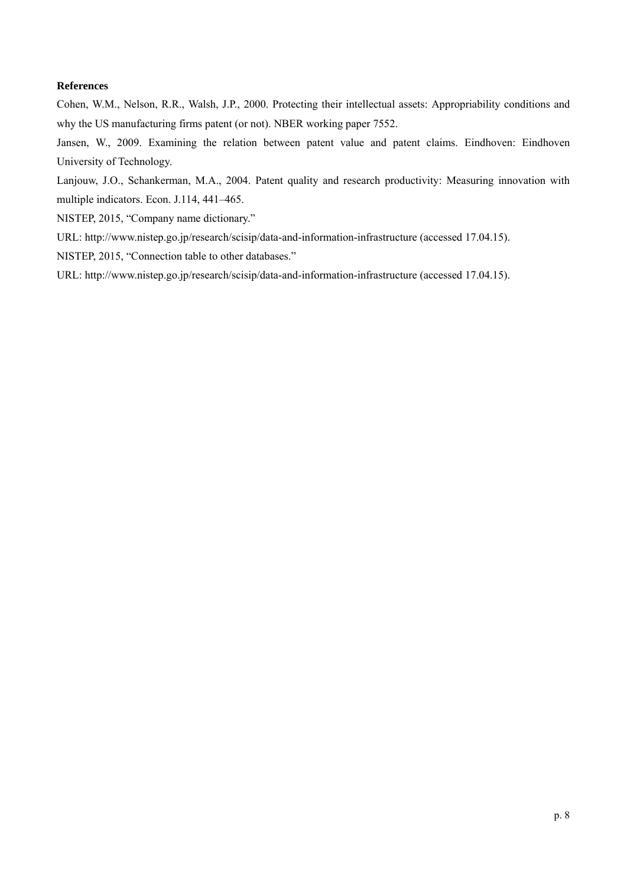### **References**

Cohen, W.M., Nelson, R.R., Walsh, J.P., 2000. Protecting their intellectual assets: Appropriability conditions and why the US manufacturing firms patent (or not). NBER working paper 7552.

Jansen, W., 2009. Examining the relation between patent value and patent claims. Eindhoven: Eindhoven University of Technology.

Lanjouw, J.O., Schankerman, M.A., 2004. Patent quality and research productivity: Measuring innovation with multiple indicators. Econ. J.114, 441–465.

NISTEP, 2015, "Company name dictionary."

URL: http://www.nistep.go.jp/research/scisip/data-and-information-infrastructure (accessed 17.04.15).

NISTEP, 2015, "Connection table to other databases."

URL: http://www.nistep.go.jp/research/scisip/data-and-information-infrastructure (accessed 17.04.15).